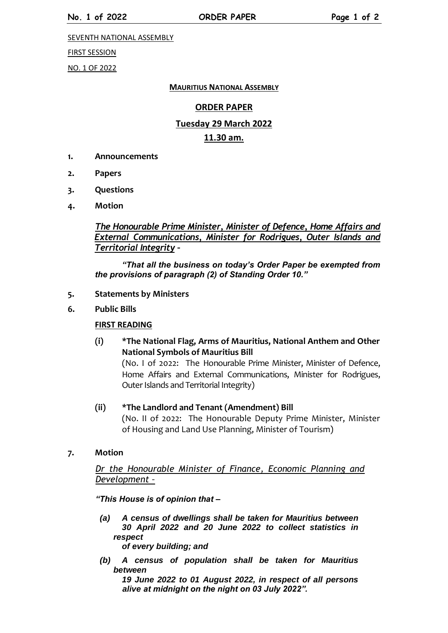SEVENTH NATIONAL ASSEMBLY

#### FIRST SESSION

NO. 1 OF 2022

#### **MAURITIUS NATIONAL ASSEMBLY**

#### **ORDER PAPER**

# **Tuesday 29 March 2022**

#### **11.30 am.**

- **1. Announcements**
- **2. Papers**
- **3. Questions**
- **4. Motion**

*The Honourable Prime Minister, Minister of Defence, Home Affairs and External Communications, Minister for Rodrigues, Outer Islands and Territorial Integrity –*

*"That all the business on today's Order Paper be exempted from the provisions of paragraph (2) of Standing Order 10."*

- **5. Statements by Ministers**
- **6. Public Bills**

#### **FIRST READING**

**(i) \*The National Flag, Arms of Mauritius, National Anthem and Other National Symbols of Mauritius Bill**

(No. I of 2022: The Honourable Prime Minister, Minister of Defence, Home Affairs and External Communications, Minister for Rodrigues, Outer Islands and Territorial Integrity)

- **(ii) \*The Landlord and Tenant (Amendment) Bill** (No. II of 2022: The Honourable Deputy Prime Minister, Minister of Housing and Land Use Planning, Minister of Tourism)
- **7. Motion**

*Dr the Honourable Minister of Finance, Economic Planning and Development –*

*"This House is of opinion that –*

*(a) A census of dwellings shall be taken for Mauritius between 30 April 2022 and 20 June 2022 to collect statistics in respect*

*of every building; and*

*(b) A census of population shall be taken for Mauritius between* 

*19 June 2022 to 01 August 2022, in respect of all persons alive at midnight on the night on 03 July 2022".*